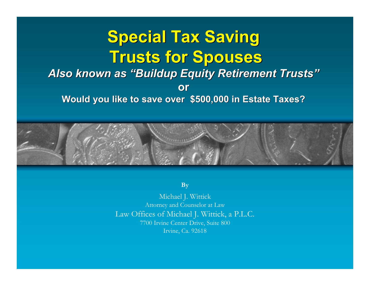#### **Special Tax Saving Special Tax Saving Trusts for Spouses** Also known as "Buildup Equity Retirement Trusts" **or Would you like to save over \$500,000 in Estate Taxes?**



**By**

Michael J. Wittick Attorney and Counselor at Law Law Offices of Michael J. Wittick, a P.L.C. 7700 Irvine Center Drive, Suite 800 Irvine, Ca. 92618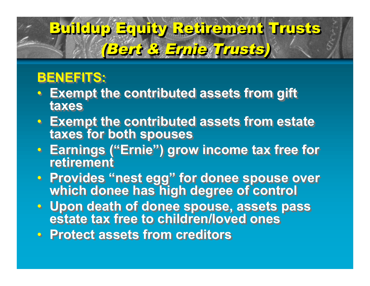## Buildup Equity Retirement Trusts Buildup Buildup Equity Retirement Retirement Trusts (Bert & Ernie Trusts) (Bert & Ernie Trusts) Trusts)

### **BENEFITS: BENEFITS:**

- **Exempt the contributed assets from gift Exempt the contributed assets from gift taxes taxes**
- **Exempt the contributed assets from estate Exempt the contributed assets from estate taxes for both spouses taxes for both spouses**
- **Earnings ("Ernie") grow income tax free for Earnings ("Ernie") grow income tax free for retirement retirement**
- **Provides "nest egg" for donee spouse over Provides "nest egg" for donee spouse over which donee has high degree of control which donee has high degree of control**
- **Upon death of donee spouse, assets pass estate tax free to children/loved ones** • **Upon death of donee spouse, assets pass estate tax free to children/loved ones**
- **Protect assets from creditors Protect assets from creditors**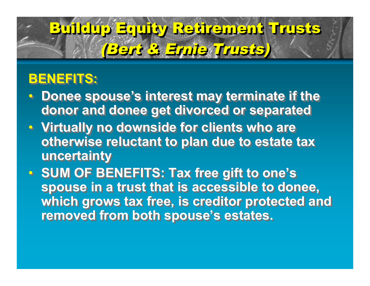## Buildup Equity Retirement Trusts Buildup Buildup Equity Retirement Retirement Trusts (Bert & Ernie Trusts) (Bert & Ernie Trusts) Trusts)

### **BENEFITS: BENEFITS:**

- **Donee spouse's interest may terminate if the Donee spouse's interest may terminate if the donor and donee get divorced or separated donor and donee get divorced or separated**
- **Virtually no downside for clients who are Virtually no downside for clients who are otherwise reluctant to plan due to estate tax otherwise reluctant to plan due to estate tax uncertainty uncertainty**
- **SUM OF BENEFITS: Tax free gift to one's SUM OF BENEFITS: Tax free gift to one's spouse in a trust that is accessible to donee, spouse in a trust that is accessible to donee, which grows tax free, is creditor protected and which grows tax free, is creditor protected and removed from both spouse's estates. removed from both spouse's estates.**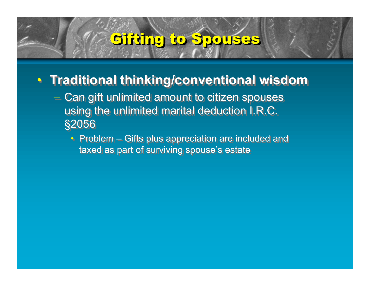### Gifting to Spouses

#### • **Traditional thinking/conventional wisdom** • **Traditional thinking/conventional wisdom**

- Can gift unlimited amount to citizen spouses Can gift unlimited amount to citizen spouses using the unlimited marital deduction I.R.C. using the unlimited marital deduction I.R.C. §2056 §2056
	- Problem Gifts plus appreciation are included and Problem Gifts plus appreciation are included and taxed as part of surviving spouse's estate taxed as part of surviving spouse's estate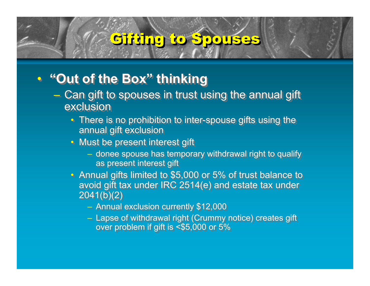### Gifting to Spouses

#### • **"Out of the Box" thinking** • **"Out of the Box" thinking**

- Can gift to spouses in trust using the annual gift Can gift to spouses in trust using the annual gift exclusion exclusion
	- There is no prohibition to inter-spouse gifts using the There is no prohibition to inter-spouse gifts using the annual gift exclusion annual gift exclusion
	- Must be present interest gift Must be present interest gift
		- donee spouse has temporary withdrawal right to qualify donee spouse has temporary withdrawal right to qualify as present interest gift as present interest gift
	- Annual gifts limited to \$5,000 or 5% of trust balance to Annual gifts limited to \$5,000 or 5% of trust balance to avoid gift tax under IRC 2514(e) and estate tax under avoid gift tax under IRC 2514(e) and estate tax under 2041(b)(2) 2041(b)(2)
		- Annual exclusion currently \$12,000 Annual exclusion currently \$12,000
		- Lapse of withdrawal right (Crummy notice) creates gift Lapse of withdrawal right (Crummy notice) creates gift over problem if gift is <\$5,000 or 5% over problem if gift is <\$5,000 or 5%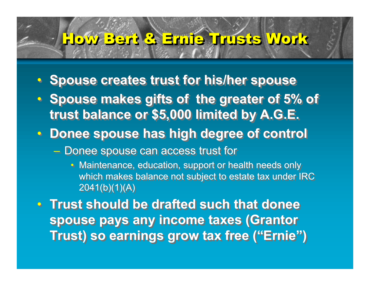## How HowBert Bert& &Ernie ErnieTrusts TrustsWork Work

- **Spouse creates trust for his/her spouse Spouse creates trust for his/her spouse**
- **Spouse makes gifts of the greater of 5% of Spouse makes gifts of the greater of 5% of trust balance or \$5,000 limited by A.G.E. trust balance or \$5,000 limited by A.G.E.**
- **Donee spouse has high degree of control Donee spouse has high degree of control**
	- Donee spouse can access trust for Donee spouse can access trust for
		- Maintenance, education, support or health needs only Maintenance, education, support or health needs only which makes balance not subject to estate tax under IRC which makes balance not subject to estate tax under IRC 2041(b)(1)(A) 2041(b)(1)(A)
- **Trust should be drafted such that donee Trust should be drafted such that donee spouse pays any income taxes (Grantor spouse pays any income taxes (Grantor Trust) so earnings grow tax free ("Ernie") Trust) so earnings grow tax free ("Ernie")**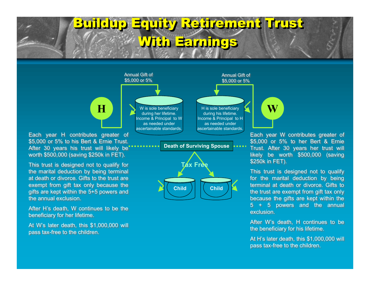

the annual exclusion. the annual exclusion.

beneficiary for her lifetime. beneficiary for her lifetime.

pass tax-free to the children. pass tax-free to the children.

After H's death, W continues to be the After H's death, W continues to be the

At W's later death, this \$1,000,000 will At W's later death, this \$1,000,000 will

Each year W contributes greater of Each year W contributes greater of \$5,000 or 5% to her Bert & Ernie \$5,000 or 5% to her Bert & Ernie Trust. After 30 years her trust will Trust. After 30 years her trust will likely be worth \$500,000 (saving likely be worth \$500,000 (saving \$250k in FET). \$250k in FET).

This trust is designed not to qualify This trust is designed not to qualify for the marital deduction by being for the marital deduction by being terminal at death or divorce. Gifts to terminal at death or divorce. Gifts to the trust are exempt from gift tax only the trust are exempt from gift tax only because the gifts are kept within the because the gifts are kept within the 5 + 5 powers and the annual 5 + 5 powers and the annual exclusion. exclusion.

After W's death, H continues to be After W's death, H continues to be the beneficiary for his lifetime. the beneficiary for his lifetime.

At H's later death, this \$1,000,000 will At H's later death, this \$1,000,000 will pass tax-free to the children. pass tax-free to the children.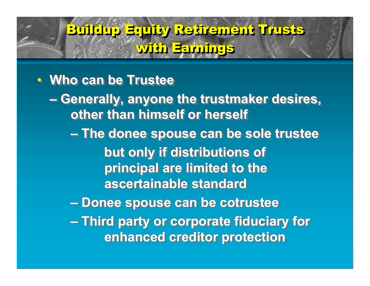#### • **Who can be Trustee** • **Who can be Trustee**

**– Generally, anyone the trustmaker desires, – Generally, anyone the trustmaker desires, other than himself or herself other than himself or herself**

**– The donee spouse can be sole trustee – The donee spouse can be sole trustee but only if distributions of but only if distributions of principal are limited to the principal are limited to the ascertainable standard ascertainable standard**

**– Donee spouse can be cotrustee – Donee spouse can be cotrustee**

**– Third party or corporate fiduciary for – Third party or corporate fiduciary for enhanced creditor protection enhanced creditor protection**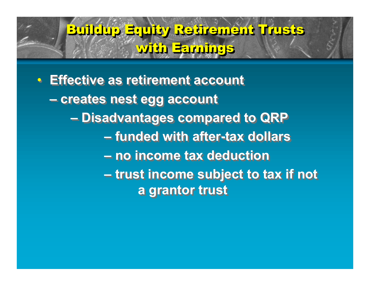• **Effective as retirement account** • **Effective as retirement account – creates nest egg account – creates nest egg account – Disadvantages compared to QRP – Disadvantages compared to QRP – funded with after-tax dollars – funded with after-tax dollars – no income tax deduction – no income tax deduction – trust income subject to tax if not – trust income subject to tax if not a grantor trust a grantor trust**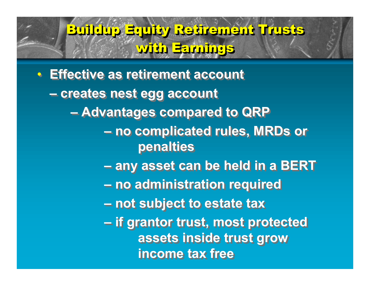• **Effective as retirement account** • **Effective as retirement account – creates nest egg account – creates nest egg account – Advantages compared to QRP – Advantages compared to QRP – no complicated rules, MRDs or – no complicated rules, MRDs or penalties penalties – any asset can be held in a BERT – any asset can be held in a BERT – no administration required – no administration required – not subject to estate tax – not subject to estate tax – if grantor trust, most protected – if grantor trust, most protected assets inside trust grow assets inside trust grow income tax free income tax free**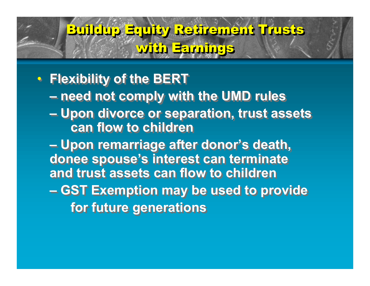- **Flexibility of the BERT Flexibility of the BERT – need not comply with the UMD rules – need not comply with the UMD rules – Upon divorce or separation, trust assets – Upon divorce or separation, trust assets can flow to children can flow to children**
	- **Upon remarriage after donor's death, Upon remarriage after donor's death, donee spouse's interest can terminate donee spouse's interest can terminate and trust assets can flow to children and trust assets can flow to children**
	- **GST Exemption may be used to provide GST Exemption may be used to provide for future generations for future generations**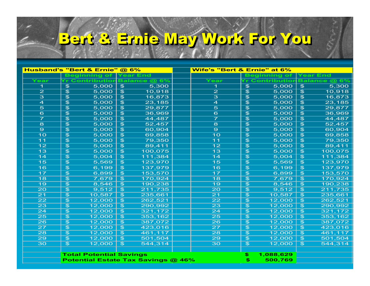# Bert Bert& &Ernie ErnieMay MayWork WorkFor ForYou You

|                                           | Husband's "Bert & Ernie" @ 6%<br>Wife's "Bert & Ernie" at 6% |                                     |                         |                                                |                                      |
|-------------------------------------------|--------------------------------------------------------------|-------------------------------------|-------------------------|------------------------------------------------|--------------------------------------|
|                                           | <b>Beginning of</b>                                          | <b>Year End</b>                     |                         | <b>Beginning of</b>                            | Year End                             |
| <b>Year</b>                               | r Contribution                                               | Balance @ 6                         | Year                    | r Contributior                                 | <b>Balance @</b><br>6'               |
| 1                                         | 5,000<br>$\mathfrak{P}$                                      | 5,300<br>$\mathfrak{P}$             | 1.                      | $\overline{\mathcal{F}}$<br>$\overline{5,000}$ | 5,300<br>$\mathfrak{F}$              |
| $\overline{2}$                            | $\overline{5,000}$<br>$\mathfrak{F}$                         | $\overline{\mathcal{F}}$<br>10,918  | $\overline{2}$          | $\overline{\mathcal{F}}$<br>$\overline{5,000}$ | $\overline{\mathcal{F}}$<br>10,918   |
| $\overline{\mathbf{3}}$                   | 5,000<br>$\mathfrak{F}$                                      | $\overline{\mathfrak{s}}$<br>16,873 | $\overline{\mathbf{3}}$ | $\overline{\mathcal{F}}$<br>5,000              | $\overline{\mathcal{F}}$<br>16,873   |
| $\overline{a}$                            | $\overline{\mathcal{F}}$<br>$\overline{5,000}$               | $\overline{\mathfrak{s}}$<br>23,185 | $\overline{4}$          | $\overline{\mathcal{F}}$<br>5,000              | $\overline{\mathcal{F}}$<br>23,185   |
| $\overline{5}$                            | $\mathfrak{P}$<br>5,000                                      | $\overline{\mathfrak{s}}$<br>29,877 | $\overline{5}$          | $\overline{\mathcal{F}}$<br>$\overline{5,000}$ | $\overline{\mathcal{F}}$<br>29,877   |
| 6                                         | $\mathfrak{P}$<br>5,000                                      | $\overline{\mathfrak{s}}$<br>36,969 | $\overline{6}$          | $\overline{\mathcal{F}}$<br>5,000              | $\overline{\mathfrak{s}}$<br>36,969  |
| $\overline{\mathbf{z}}$                   | $\overline{\mathcal{F}}$<br>5,000                            | $\overline{\mathfrak{s}}$<br>44,487 | $\overline{\mathbf{z}}$ | $\overline{\mathcal{F}}$<br>$\overline{5,000}$ | $\overline{\mathcal{F}}$<br>44,487   |
| 8                                         | $\overline{\mathcal{F}}$<br>5,000                            | $\overline{\mathfrak{s}}$<br>52,457 | $\overline{8}$          | $\overline{\mathcal{F}}$<br>$\overline{5,000}$ | $\overline{\mathcal{F}}$<br>52,457   |
| $\overline{9}$                            | $\mathfrak{P}$<br>5,000                                      | $\overline{\mathcal{F}}$<br>60,904  | $\overline{9}$          | $\overline{\mathcal{F}}$<br>5,000              | $\overline{\mathcal{F}}$<br>60,904   |
| $\overline{10}$                           | $\mathfrak{P}$<br>5,000                                      | 69,858<br>$\mathfrak{F}$            | $\overline{10}$         | $\overline{\mathcal{F}}$<br>$\overline{5,000}$ | $\overline{\mathcal{F}}$<br>69,858   |
| 11                                        | $\overline{\mathcal{F}}$<br>5,000                            | $\overline{\mathbf{3}}$<br>79,350   | $\overline{11}$         | $\overline{\mathcal{F}}$<br>5,000              | $\overline{\mathcal{F}}$<br>79,350   |
| $\overline{12}$                           | $\overline{\mathcal{F}}$<br>5,000                            | $\mathfrak{F}$<br>89,411            | $\overline{12}$         | $\overline{\mathcal{F}}$<br>5,000              | $\overline{\mathfrak{s}}$<br>89,411  |
| $\overline{13}$                           | $\overline{\mathcal{F}}$<br>5,000                            | $\overline{\mathcal{F}}$<br>100,075 | $\overline{13}$         | $\overline{\mathcal{F}}$<br>5,000              | $\overline{\mathfrak{s}}$<br>100,075 |
| $\overline{14}$                           | $\mathfrak{F}$<br>5,004                                      | $\mathfrak{F}$<br>111,384           | 14                      | $\overline{\mathfrak{s}}$<br>5,004             | $\overline{\mathcal{F}}$<br>111,384  |
| 15                                        | $\mathfrak{F}$<br>5,569                                      | $\mathfrak{F}$<br>123,970           | 15                      | $\overline{\mathcal{F}}$<br>5,569              | $\overline{\mathcal{F}}$<br>123,970  |
| $\overline{16}$                           | $\overline{\mathcal{F}}$<br>6,199                            | $\overline{\mathcal{F}}$<br>137,979 | $\overline{16}$         | $\overline{\mathcal{F}}$<br>6,199              | $\overline{\mathfrak{s}}$<br>137,979 |
| 17                                        | $\mathfrak{F}$<br>6,899                                      | $\mathfrak{F}$<br>153,570           | $\overline{17}$         | $\overline{\mathcal{F}}$<br>6,899              | $\overline{\mathcal{F}}$<br>153,570  |
| 18                                        | $\overline{\mathcal{F}}$<br>7,679                            | $\overline{\mathcal{F}}$<br>170,924 | 18                      | $\overline{\mathcal{F}}$<br>7,679              | $\overline{\mathfrak{s}}$<br>170,924 |
| $\overline{19}$                           | $\overline{\mathcal{F}}$<br>8,546                            | $\overline{\mathcal{F}}$<br>190,238 | $\overline{19}$         | $\overline{\mathcal{F}}$<br>8,546              | $\overline{\mathfrak{s}}$<br>190,238 |
| $\overline{20}$                           | $\mathfrak{F}$<br>9,512                                      | $\mathfrak{B}$<br>211,735           | 20                      | $\overline{\mathcal{F}}$<br>9,512              | $\overline{\mathcal{F}}$<br>211,735  |
| $\overline{21}$                           | 10,587<br>$\mathfrak{F}$                                     | $\overline{\mathcal{F}}$<br>235,661 | 21                      | $\overline{\mathcal{F}}$<br>10,587             | $\overline{\mathcal{F}}$<br>235,661  |
| 22                                        | 12,000<br>$\mathfrak{F}$                                     | $\mathfrak{F}$<br>262,521           | $\overline{22}$         | $\overline{\mathcal{F}}$<br>12,000             | $\overline{\mathcal{F}}$<br>262,521  |
| $\overline{23}$                           | 12,000<br>$\mathfrak{F}$                                     | 290,992<br>$\mathfrak{F}$           | $\overline{23}$         | $\overline{\mathcal{F}}$<br>12,000             | 290,992<br>$\mathfrak{F}$            |
| $\overline{24}$                           | 12,000<br>$\mathfrak{F}$                                     | 321,172<br>$\mathfrak{F}$           | $\overline{24}$         | $\overline{\mathcal{F}}$<br>12,000             | $\overline{\mathcal{F}}$<br>321,172  |
| $\overline{25}$                           | 12,000<br>$\mathfrak{F}$                                     | $\mathfrak{B}$<br>353,162           | $\overline{25}$         | $\overline{\mathcal{F}}$<br>12,000             | $\overline{\mathcal{F}}$<br>353,162  |
| $\overline{26}$                           | 12,000<br>$\mathfrak{F}$                                     | $\overline{\mathcal{F}}$<br>387,072 | $\overline{26}$         | $\overline{\mathcal{F}}$<br>12,000             | $\overline{\mathcal{F}}$<br>387,072  |
| $\overline{27}$                           | 12,000<br>$\overline{\mathcal{F}}$                           | 423,016<br>$\overline{\mathcal{F}}$ | $\overline{27}$         | $\overline{\mathfrak{s}}$<br>12,000            | $\overline{\mathcal{F}}$<br>423,016  |
| 28                                        | 12,000<br>$\mathfrak{P}$                                     | 461,117<br>$\mathfrak{B}$           | 28                      | $\overline{\mathcal{F}}$<br>12,000             | $\overline{\mathfrak{s}}$<br>461,117 |
| 29                                        | 12,000<br>$\mathfrak{P}$                                     | $\overline{\mathcal{F}}$<br>501,504 | 29                      | $\overline{\mathfrak{s}}$<br>12,000            | $\overline{\mathcal{F}}$<br>501,504  |
| $\overline{30}$                           | $\overline{\mathcal{F}}$<br>12,000                           | 544,314<br>$\overline{\mathcal{F}}$ | $\overline{30}$         | $\overline{\mathcal{F}}$<br>12,000             | $\overline{\mathbf{3}}$<br>544,314   |
|                                           |                                                              |                                     |                         |                                                |                                      |
|                                           | <b>Total Potential Savings</b>                               |                                     |                         | 1,088,629<br>\$                                |                                      |
| <b>Potential Estate Tax Savings @ 46%</b> |                                                              |                                     | $\mathbf{E}$<br>500,769 |                                                |                                      |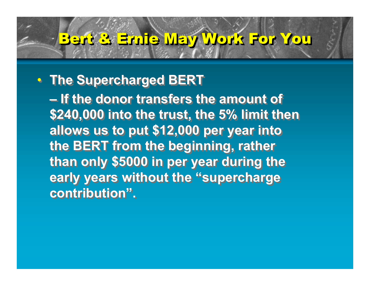# Bert & Ernie May Work For You

#### • **The Supercharged BERT** • **The Supercharged BERT**

**– If the donor transfers the amount of – If the donor transfers the amount of \$240,000 into the trust, the 5% limit then \$240,000 into the trust, the 5% limit then allows us to put \$12,000 per year into allows us to put \$12,000 per year into the BERT from the beginning, rather the BERT from the beginning, rather than only \$5000 in per year during the than only \$5000 in per year during the early years without the "supercharge early years without the "supercharge contribution". contribution".**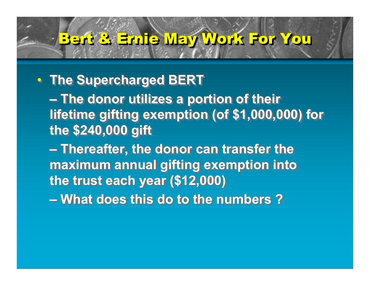# Bert & Ernie May Work For You

#### • **The Supercharged BERT** • **The Supercharged BERT**

**– The donor utilizes a portion of their – The donor utilizes a portion of their lifetime gifting exemption (of \$1,000,000) for lifetime gifting exemption (of \$1,000,000) for the \$240,000 gift the \$240,000 gift**

**– Thereafter, the donor can transfer the – Thereafter, the donor can transfer the maximum annual gifting exemption into maximum annual gifting exemption into the trust each year (\$12,000) the trust each year (\$12,000)**

**– What does this do to the numbers ? – What does this do to the numbers ?**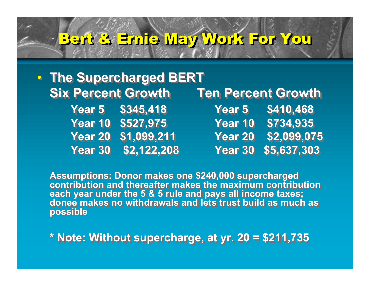# Bert & Ernie May Work For You

|                           | • The Supercharged BERT |                           |                  |  |  |  |
|---------------------------|-------------------------|---------------------------|------------------|--|--|--|
| <b>Six Percent Growth</b> |                         | <b>Ten Percent Growth</b> |                  |  |  |  |
|                           | Year 5 \$345,418        |                           | Year 5 \$410,468 |  |  |  |
|                           | Year 10 \$527,975       | Year 10                   | \$734,935        |  |  |  |
|                           | Year 20 \$1,099,211     | <b>Year 20</b>            | \$2,099,075      |  |  |  |
|                           | Year 30 \$2,122,208     | Year 30                   | \$5,637,303      |  |  |  |

**Assumptions: Donor makes one \$240,000 supercharged Assumptions: Donor makes one \$240,000 supercharged contribution and thereafter makes the maximum contribution contribution and thereafter makes the maximum contribution each year under the 5 & 5 rule and pays all income taxes; donee makes no withdrawals and lets trust build as much as possible possible each year under the 5 & 5 rule and pays all income taxes; donee makes no withdrawals and lets trust build as much as**

**\* Note: Without supercharge, at yr. 20 = \$211,735 \* Note: Without supercharge, at yr. 20 = \$211,735**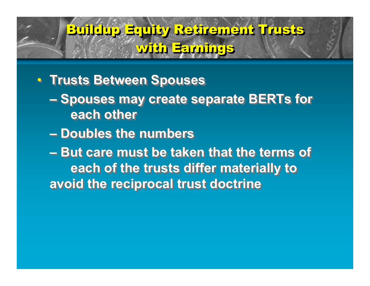#### • **Trusts Between Spouses** • **Trusts Between Spouses**

- **Spouses may create separate BERTs for Spouses may create separate BERTs for each other each other**
- **Doubles the numbers Doubles the numbers**
- **But care must be taken that the terms of But care must be taken that the terms of each of the trusts differ materially to each of the trusts differ materially to avoid the reciprocal trust doctrine avoid the reciprocal trust doctrine**